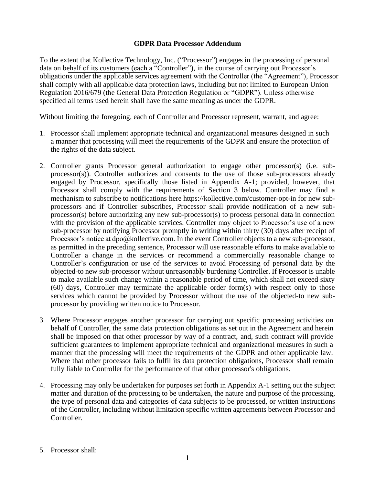### **GDPR Data Processor Addendum**

To the extent that Kollective Technology, Inc. ("Processor") engages in the processing of personal data on behalf of its customers (each a "Controller"), in the course of carrying out Processor's obligations under the applicable services agreement with the Controller (the "Agreement"), Processor shall comply with all applicable data protection laws, including but not limited to European Union Regulation 2016/679 (the General Data Protection Regulation or "GDPR"). Unless otherwise specified all terms used herein shall have the same meaning as under the GDPR.

Without limiting the foregoing, each of Controller and Processor represent, warrant, and agree:

- 1. Processor shall implement appropriate technical and organizational measures designed in such a manner that processing will meet the requirements of the GDPR and ensure the protection of the rights of the data subject.
- 2. Controller grants Processor general authorization to engage other processor(s) (i.e. subprocessor(s)). Controller authorizes and consents to the use of those sub-processors already engaged by Processor, specifically those listed in Appendix A-1; provided, however, that Processor shall comply with the requirements of Section 3 below. Controller may find a mechanism to subscribe to notifications here https://kollective.com/customer-opt-in for new subprocessors and if Controller subscribes, Processor shall provide notification of a new subprocessor(s) before authorizing any new sub-processor(s) to process personal data in connection with the provision of the applicable services. Controller may object to Processor's use of a new sub-processor by notifying Processor promptly in writing within thirty (30) days after receipt of Processor's notice at dpo@kollective.com. In the event Controller objects to a new sub-processor, as permitted in the preceding sentence, Processor will use reasonable efforts to make available to Controller a change in the services or recommend a commercially reasonable change to Controller's configuration or use of the services to avoid Processing of personal data by the objected-to new sub-processor without unreasonably burdening Controller. If Processor is unable to make available such change within a reasonable period of time, which shall not exceed sixty (60) days, Controller may terminate the applicable order form(s) with respect only to those services which cannot be provided by Processor without the use of the objected-to new subprocessor by providing written notice to Processor.
- 3. Where Processor engages another processor for carrying out specific processing activities on behalf of Controller, the same data protection obligations as set out in the Agreement and herein shall be imposed on that other processor by way of a contract, and, such contract will provide sufficient guarantees to implement appropriate technical and organizational measures in such a manner that the processing will meet the requirements of the GDPR and other applicable law. Where that other processor fails to fulfil its data protection obligations, Processor shall remain fully liable to Controller for the performance of that other processor's obligations.
- 4. Processing may only be undertaken for purposes set forth in Appendix A-1 setting out the subject matter and duration of the processing to be undertaken, the nature and purpose of the processing, the type of personal data and categories of data subjects to be processed, or written instructions of the Controller, including without limitation specific written agreements between Processor and Controller.

<sup>5.</sup> Processor shall: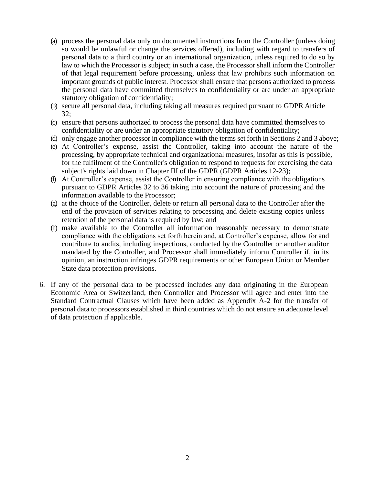- (a) process the personal data only on documented instructions from the Controller (unless doing so would be unlawful or change the services offered), including with regard to transfers of personal data to a third country or an international organization, unless required to do so by law to which the Processor is subject; in such a case, the Processor shall inform the Controller of that legal requirement before processing, unless that law prohibits such information on important grounds of public interest. Processor shall ensure that persons authorized to process the personal data have committed themselves to confidentiality or are under an appropriate statutory obligation of confidentiality;
- (b) secure all personal data, including taking all measures required pursuant to GDPR Article 32;
- (c) ensure that persons authorized to process the personal data have committed themselves to confidentiality or are under an appropriate statutory obligation of confidentiality;
- (d) only engage another processor in compliance with the terms set forth in Sections 2 and 3 above;
- (e) At Controller's expense, assist the Controller, taking into account the nature of the processing, by appropriate technical and organizational measures, insofar as this is possible, for the fulfilment of the Controller's obligation to respond to requests for exercising the data subject's rights laid down in Chapter III of the GDPR (GDPR Articles 12-23);
- (f) At Controller's expense, assist the Controller in ensuring compliance with the obligations pursuant to GDPR Articles 32 to 36 taking into account the nature of processing and the information available to the Processor;
- (g) at the choice of the Controller, delete or return all personal data to the Controller after the end of the provision of services relating to processing and delete existing copies unless retention of the personal data is required by law; and
- (h) make available to the Controller all information reasonably necessary to demonstrate compliance with the obligations set forth herein and, at Controller's expense, allow for and contribute to audits, including inspections, conducted by the Controller or another auditor mandated by the Controller, and Processor shall immediately inform Controller if, in its opinion, an instruction infringes GDPR requirements or other European Union or Member State data protection provisions.
- 6. If any of the personal data to be processed includes any data originating in the European Economic Area or Switzerland, then Controller and Processor will agree and enter into the Standard Contractual Clauses which have been added as Appendix A-2 for the transfer of personal data to processors established in third countries which do not ensure an adequate level of data protection if applicable.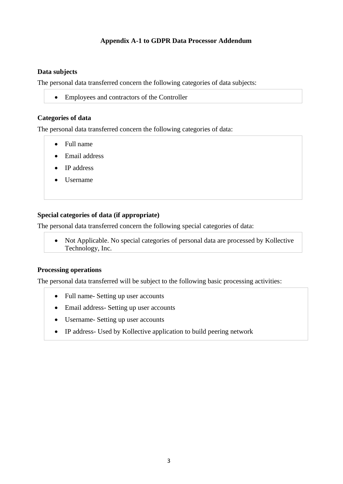## **Appendix A-1 to GDPR Data Processor Addendum**

### **Data subjects**

The personal data transferred concern the following categories of data subjects:

• Employees and contractors of the Controller

### **Categories of data**

The personal data transferred concern the following categories of data:

- Full name
- Email address
- IP address
- Username

### **Special categories of data (if appropriate)**

The personal data transferred concern the following special categories of data:

• Not Applicable. No special categories of personal data are processed by Kollective Technology, Inc.

### **Processing operations**

The personal data transferred will be subject to the following basic processing activities:

- Full name- Setting up user accounts
- Email address- Setting up user accounts
- Username- Setting up user accounts
- IP address- Used by Kollective application to build peering network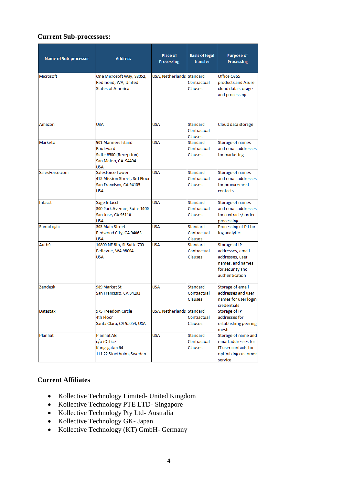## **Current Sub-processors:**

| <b>Name of Sub-processor</b> | <b>Address</b>                                                                                    | <b>Place of</b><br><b>Processing</b> | <b>Basis of legal</b><br>transfer         | <b>Purpose of</b><br><b>Processing</b>                                                                         |
|------------------------------|---------------------------------------------------------------------------------------------------|--------------------------------------|-------------------------------------------|----------------------------------------------------------------------------------------------------------------|
| Microsoft                    | One Microsoft Way, 98052,<br>Redmond, WA, United<br><b>States of America</b>                      | USA, Netherlands Standard            | Contractual<br><b>Clauses</b>             | Office O365<br>products and Azure<br>cloud data storage<br>and processing                                      |
| Amazon                       | <b>USA</b>                                                                                        | <b>USA</b>                           | Standard<br>Contractual<br><b>Clauses</b> | Cloud data storage                                                                                             |
| Marketo                      | 901 Mariners Island<br><b>Boulevard</b><br>Suite #500 (Reception)<br>San Mateo, CA 94404<br>USA   | <b>USA</b>                           | Standard<br>Contractual<br>Clauses        | Storage of names<br>and email addresses<br>for marketing                                                       |
| SalesForce.com               | <b>Salesforce Tower</b><br>415 Mission Street, 3rd Floor<br>San Francisco, CA 94105<br><b>USA</b> | <b>USA</b>                           | Standard<br>Contractual<br>Clauses        | Storage of names<br>and email addresses<br>for procurement<br>contacts                                         |
| Intacct                      | Sage Intacct<br>300 Park Avenue, Suite 1400<br>San Jose, CA 95110<br><b>USA</b>                   | <b>USA</b>                           | Standard<br>Contractual<br><b>Clauses</b> | Storage of names<br>and email addresses<br>for contracts/order<br>processing                                   |
| SumoLogic                    | 305 Main Street<br>Redwood City, CA 94063<br><b>USA</b>                                           | <b>USA</b>                           | Standard<br>Contractual<br>Clauses        | Processing of PII for<br>log analytics                                                                         |
| Auth0                        | 10800 NE 8th, St Suite 700<br>Bellevue, WA 98004<br><b>USA</b>                                    | <b>USA</b>                           | Standard<br>Contractual<br>Clauses        | Storage of IP<br>addresses, email<br>addresses, user<br>names, and names<br>for security and<br>authentication |
| Zendesk                      | 989 Market St<br>San Francisco, CA 94103                                                          | <b>USA</b>                           | Standard<br>Contractual<br>Clauses        | Storage of email<br>addresses and user<br>names for user login<br>credentials                                  |
| Datastax                     | 975 Freedom Circle<br>4th Floor<br>Santa Clara, CA 95054, USA                                     | USA, Netherlands Standard            | Contractual<br><b>Clauses</b>             | Storage of IP<br>addresses for<br>establishing peering<br>mesh                                                 |
| Planhat                      | Planhat AB<br>c/o iOffice<br>Kungsgatan 64<br>111 22 Stockholm, Sweden                            | <b>USA</b>                           | Standard<br>Contractual<br>Clauses        | Storage of name and<br>email addresses for<br>IT user contacts for<br>optimizing customer<br>service           |

## **Current Affiliates**

- Kollective Technology Limited- United Kingdom
- Kollective Technology PTE LTD- Singapore
- Kollective Technology Pty Ltd- Australia
- Kollective Technology GK- Japan
- Kollective Technology (KT) GmbH- Germany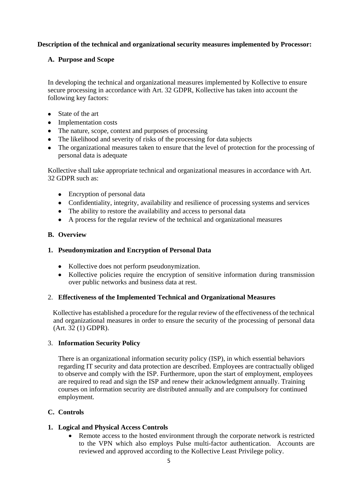## **Description of the technical and organizational security measures implemented by Processor:**

## **A. Purpose and Scope**

In developing the technical and organizational measures implemented by Kollective to ensure secure processing in accordance with Art. 32 GDPR, Kollective has taken into account the following key factors:

- State of the art
- Implementation costs
- The nature, scope, context and purposes of processing
- The likelihood and severity of risks of the processing for data subjects
- The organizational measures taken to ensure that the level of protection for the processing of personal data is adequate

Kollective shall take appropriate technical and organizational measures in accordance with Art. 32 GDPR such as:

- Encryption of personal data
- Confidentiality, integrity, availability and resilience of processing systems and services
- The ability to restore the availability and access to personal data
- A process for the regular review of the technical and organizational measures

### **B. Overview**

## **1. Pseudonymization and Encryption of Personal Data**

- Kollective does not perform pseudonymization.
- Kollective policies require the encryption of sensitive information during transmission over public networks and business data at rest.

### 2. **Effectiveness of the Implemented Technical and Organizational Measures**

 Kollective has established a procedure for the regular review of the effectiveness of the technical and organizational measures in order to ensure the security of the processing of personal data (Art. 32 (1) GDPR).

### 3. **Information Security Policy**

There is an organizational information security policy (ISP), in which essential behaviors regarding IT security and data protection are described. Employees are contractually obliged to observe and comply with the ISP. Furthermore, upon the start of employment, employees are required to read and sign the ISP and renew their acknowledgment annually. Training courses on information security are distributed annually and are compulsory for continued employment.

## **C. Controls**

### **1. Logical and Physical Access Controls**

• Remote access to the hosted environment through the corporate network is restricted to the VPN which also employs Pulse multi-factor authentication. Accounts are reviewed and approved according to the Kollective Least Privilege policy.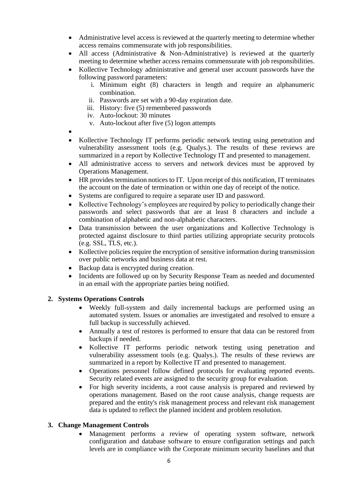- Administrative level access is reviewed at the quarterly meeting to determine whether access remains commensurate with job responsibilities.
- All access (Administrative & Non-Administrative) is reviewed at the quarterly meeting to determine whether access remains commensurate with job responsibilities.
- Kollective Technology administrative and general user account passwords have the following password parameters:
	- i. Minimum eight (8) characters in length and require an alphanumeric combination.
	- ii. Passwords are set with a 90-day expiration date.
	- iii. History: five (5) remembered passwords
	- iv. Auto-lockout: 30 minutes
	- v. Auto-lockout after five (5) logon attempts
- •
- Kollective Technology IT performs periodic network testing using penetration and vulnerability assessment tools (e.g. Qualys.). The results of these reviews are summarized in a report by Kollective Technology IT and presented to management.
- All administrative access to servers and network devices must be approved by Operations Management.
- HR provides termination notices to IT. Upon receipt of this notification, IT terminates the account on the date of termination or within one day of receipt of the notice.
- Systems are configured to require a separate user ID and password.
- Kollective Technology's employees are required by policy to periodically change their passwords and select passwords that are at least 8 characters and include a combination of alphabetic and non-alphabetic characters.
- Data transmission between the user organizations and Kollective Technology is protected against disclosure to third parties utilizing appropriate security protocols (e.g. SSL, TLS, etc.).
- Kollective policies require the encryption of sensitive information during transmission over public networks and business data at rest.
- Backup data is encrypted during creation.
- Incidents are followed up on by Security Response Team as needed and documented in an email with the appropriate parties being notified.

### **2. Systems Operations Controls**

- Weekly full-system and daily incremental backups are performed using an automated system. Issues or anomalies are investigated and resolved to ensure a full backup is successfully achieved.
- Annually a test of restores is performed to ensure that data can be restored from backups if needed.
- Kollective IT performs periodic network testing using penetration and vulnerability assessment tools (e.g. Qualys.). The results of these reviews are summarized in a report by Kollective IT and presented to management.
- Operations personnel follow defined protocols for evaluating reported events. Security related events are assigned to the security group for evaluation.
- For high severity incidents, a root cause analysis is prepared and reviewed by operations management. Based on the root cause analysis, change requests are prepared and the entity's risk management process and relevant risk management data is updated to reflect the planned incident and problem resolution.

## **3. Change Management Controls**

Management performs a review of operating system software, network configuration and database software to ensure configuration settings and patch levels are in compliance with the Corporate minimum security baselines and that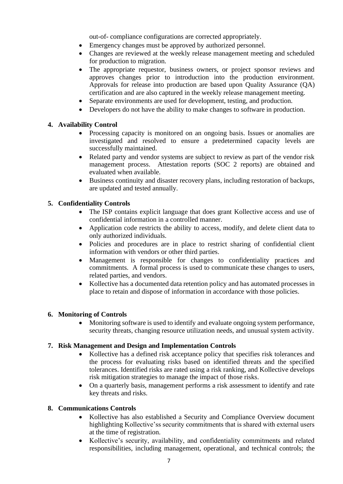out-of- compliance configurations are corrected appropriately.

- Emergency changes must be approved by authorized personnel.
- Changes are reviewed at the weekly release management meeting and scheduled for production to migration.
- The appropriate requestor, business owners, or project sponsor reviews and approves changes prior to introduction into the production environment. Approvals for release into production are based upon Quality Assurance (QA) certification and are also captured in the weekly release management meeting.
- Separate environments are used for development, testing, and production.
- Developers do not have the ability to make changes to software in production.

### **4. Availability Control**

- Processing capacity is monitored on an ongoing basis. Issues or anomalies are investigated and resolved to ensure a predetermined capacity levels are successfully maintained.
- Related party and vendor systems are subject to review as part of the vendor risk management process. Attestation reports (SOC 2 reports) are obtained and evaluated when available.
- Business continuity and disaster recovery plans, including restoration of backups, are updated and tested annually.

### **5. Confidentiality Controls**

- The ISP contains explicit language that does grant Kollective access and use of confidential information in a controlled manner.
- Application code restricts the ability to access, modify, and delete client data to only authorized individuals.
- Policies and procedures are in place to restrict sharing of confidential client information with vendors or other third parties.
- Management is responsible for changes to confidentiality practices and commitments. A formal process is used to communicate these changes to users, related parties, and vendors.
- Kollective has a documented data retention policy and has automated processes in place to retain and dispose of information in accordance with those policies.

### **6. Monitoring of Controls**

• Monitoring software is used to identify and evaluate ongoing system performance, security threats, changing resource utilization needs, and unusual system activity.

### **7. Risk Management and Design and Implementation Controls**

- Kollective has a defined risk acceptance policy that specifies risk tolerances and the process for evaluating risks based on identified threats and the specified tolerances. Identified risks are rated using a risk ranking, and Kollective develops risk mitigation strategies to manage the impact of those risks.
- On a quarterly basis, management performs a risk assessment to identify and rate key threats and risks.

## **8. Communications Controls**

- Kollective has also established a Security and Compliance Overview document highlighting Kollective'ss security commitments that is shared with external users at the time of registration.
- Kollective's security, availability, and confidentiality commitments and related responsibilities, including management, operational, and technical controls; the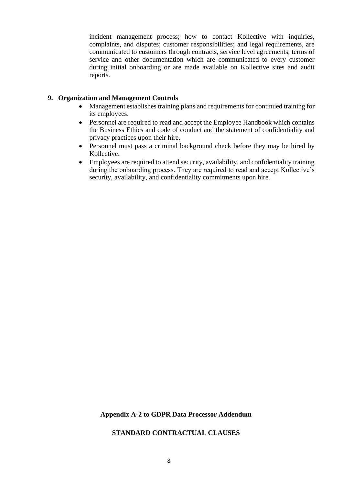incident management process; how to contact Kollective with inquiries, complaints, and disputes; customer responsibilities; and legal requirements, are communicated to customers through contracts, service level agreements, terms of service and other documentation which are communicated to every customer during initial onboarding or are made available on Kollective sites and audit reports.

### **9. Organization and Management Controls**

- Management establishes training plans and requirements for continued training for its employees.
- Personnel are required to read and accept the Employee Handbook which contains the Business Ethics and code of conduct and the statement of confidentiality and privacy practices upon their hire.
- Personnel must pass a criminal background check before they may be hired by Kollective.
- Employees are required to attend security, availability, and confidentiality training during the onboarding process. They are required to read and accept Kollective's security, availability, and confidentiality commitments upon hire.

#### **Appendix A-2 to GDPR Data Processor Addendum**

### **STANDARD CONTRACTUAL CLAUSES**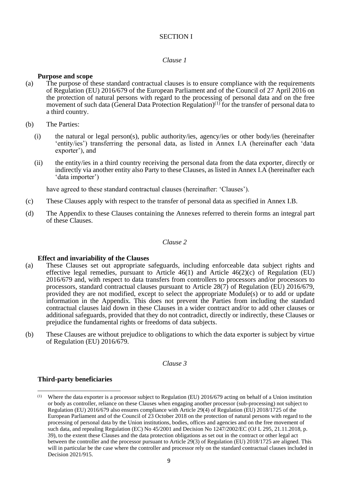### SECTION I

#### *Clause 1*

### **Purpose and scope**

- (a) The purpose of these standard contractual clauses is to ensure compliance with the requirements of Regulation (EU) 2016/679 of the European Parliament and of the Council of 27 April 2016 on the protection of natural persons with regard to the processing of personal data and on the free movement of such data (General Data Protection Regulation)<sup>(1)</sup> for the transfer of personal data to a third country.
- (b) The Parties:
	- (i) the natural or legal person(s), public authority/ies, agency/ies or other body/ies (hereinafter 'entity/ies') transferring the personal data, as listed in Annex I.A (hereinafter each 'data exporter'), and
	- (ii) the entity/ies in a third country receiving the personal data from the data exporter, directly or indirectly via another entity also Party to these Clauses, as listed in Annex I.A (hereinafter each 'data importer')

have agreed to these standard contractual clauses (hereinafter: 'Clauses').

- (c) These Clauses apply with respect to the transfer of personal data as specified in Annex I.B.
- (d) The Appendix to these Clauses containing the Annexes referred to therein forms an integral part of these Clauses.

*Clause 2*

### **Effect and invariability of the Clauses**

- (a) These Clauses set out appropriate safeguards, including enforceable data subject rights and effective legal remedies, pursuant to Article  $46(1)$  and Article  $46(2)(c)$  of Regulation (EU) 2016/679 and, with respect to data transfers from controllers to processors and/or processors to processors, standard contractual clauses pursuant to Article 28(7) of Regulation (EU) 2016/679, provided they are not modified, except to select the appropriate Module(s) or to add or update information in the Appendix. This does not prevent the Parties from including the standard contractual clauses laid down in these Clauses in a wider contract and/or to add other clauses or additional safeguards, provided that they do not contradict, directly or indirectly, these Clauses or prejudice the fundamental rights or freedoms of data subjects.
- (b) These Clauses are without prejudice to obligations to which the data exporter is subject by virtue of Regulation (EU) 2016/679.

*Clause 3*

### **Third-party beneficiaries**

<sup>(1)</sup> Where the data exporter is a processor subject to Regulation (EU) 2016/679 acting on behalf of a Union institution or body as controller, reliance on these Clauses when engaging another processor (sub-processing) not subject to Regulation (EU) 2016/679 also ensures compliance with Article 29(4) of Regulation (EU) 2018/1725 of the European Parliament and of the Council of 23 October 2018 on the protection of natural persons with regard to the processing of personal data by the Union institutions, bodies, offices and agencies and on the free movement of such data, and repealing Regulation (EC) No 45/2001 and Decision No 1247/2002/EC (OJ L 295, 21.11.2018, p. 39), to the extent these Clauses and the data protection obligations as set out in the contract or other legal act between the controller and the processor pursuant to Article 29(3) of Regulation (EU) 2018/1725 are aligned. This will in particular be the case where the controller and processor rely on the standard contractual clauses included in Decision 2021/915.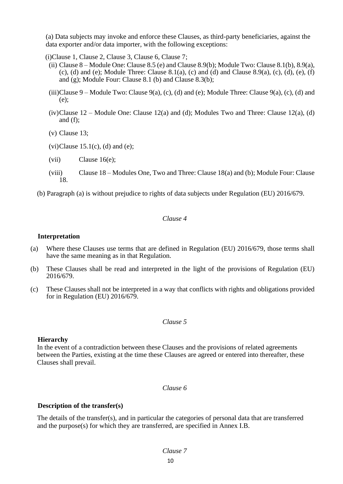(a) Data subjects may invoke and enforce these Clauses, as third-party beneficiaries, against the data exporter and/or data importer, with the following exceptions:

(i)Clause 1, Clause 2, Clause 3, Clause 6, Clause 7;

- (ii) Clause  $8 -$  Module One: Clause  $8.5$  (e) and Clause  $8.9$ (b); Module Two: Clause  $8.1$ (b),  $8.9$ (a), (c), (d) and (e); Module Three: Clause  $8.1(a)$ , (c) and (d) and Clause  $8.9(a)$ , (c), (d), (e), (f) and (g); Module Four: Clause 8.1 (b) and Clause 8.3(b);
- (iii)Clause 9 Module Two: Clause 9(a), (c), (d) and (e); Module Three: Clause 9(a), (c), (d) and (e);
- (iv)Clause  $12 -$  Module One: Clause  $12(a)$  and (d); Modules Two and Three: Clause  $12(a)$ , (d) and (f);
- (v) Clause 13;
- (vi)Clause  $15.1(c)$ , (d) and (e);
- $(vii)$  Clause 16(e);
- (viii) Clause 18 Modules One, Two and Three: Clause 18(a) and (b); Module Four: Clause 18.
- (b) Paragraph (a) is without prejudice to rights of data subjects under Regulation (EU) 2016/679.

### *Clause 4*

### **Interpretation**

- (a) Where these Clauses use terms that are defined in Regulation (EU) 2016/679, those terms shall have the same meaning as in that Regulation.
- (b) These Clauses shall be read and interpreted in the light of the provisions of Regulation (EU) 2016/679.
- (c) These Clauses shall not be interpreted in a way that conflicts with rights and obligations provided for in Regulation (EU) 2016/679.

#### *Clause 5*

### **Hierarchy**

In the event of a contradiction between these Clauses and the provisions of related agreements between the Parties, existing at the time these Clauses are agreed or entered into thereafter, these Clauses shall prevail.

### *Clause 6*

### **Description of the transfer(s)**

The details of the transfer(s), and in particular the categories of personal data that are transferred and the purpose(s) for which they are transferred, are specified in Annex I.B.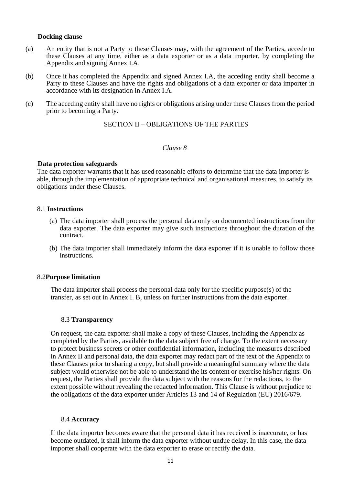#### **Docking clause**

- (a) An entity that is not a Party to these Clauses may, with the agreement of the Parties, accede to these Clauses at any time, either as a data exporter or as a data importer, by completing the Appendix and signing Annex I.A.
- (b) Once it has completed the Appendix and signed Annex I.A, the acceding entity shall become a Party to these Clauses and have the rights and obligations of a data exporter or data importer in accordance with its designation in Annex I.A.
- (c) The acceding entity shall have no rights or obligations arising under these Clauses from the period prior to becoming a Party.

### SECTION II – OBLIGATIONS OF THE PARTIES

### *Clause 8*

#### **Data protection safeguards**

The data exporter warrants that it has used reasonable efforts to determine that the data importer is able, through the implementation of appropriate technical and organisational measures, to satisfy its obligations under these Clauses.

#### 8.1 **Instructions**

- (a) The data importer shall process the personal data only on documented instructions from the data exporter. The data exporter may give such instructions throughout the duration of the contract.
- (b) The data importer shall immediately inform the data exporter if it is unable to follow those instructions.

#### 8.2**Purpose limitation**

The data importer shall process the personal data only for the specific purpose(s) of the transfer, as set out in Annex I. B, unless on further instructions from the data exporter.

#### 8.3 **Transparency**

On request, the data exporter shall make a copy of these Clauses, including the Appendix as completed by the Parties, available to the data subject free of charge. To the extent necessary to protect business secrets or other confidential information, including the measures described in Annex II and personal data, the data exporter may redact part of the text of the Appendix to these Clauses prior to sharing a copy, but shall provide a meaningful summary where the data subject would otherwise not be able to understand the its content or exercise his/her rights. On request, the Parties shall provide the data subject with the reasons for the redactions, to the extent possible without revealing the redacted information. This Clause is without prejudice to the obligations of the data exporter under Articles 13 and 14 of Regulation (EU) 2016/679.

#### 8.4 **Accuracy**

If the data importer becomes aware that the personal data it has received is inaccurate, or has become outdated, it shall inform the data exporter without undue delay. In this case, the data importer shall cooperate with the data exporter to erase or rectify the data.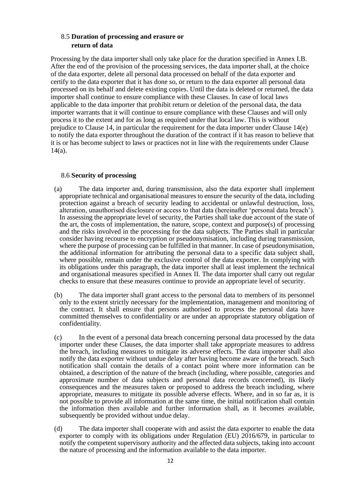## 8.5 **Duration of processing and erasure or return of data**

Processing by the data importer shall only take place for the duration specified in Annex I.B. After the end of the provision of the processing services, the data importer shall, at the choice of the data exporter, delete all personal data processed on behalf of the data exporter and certify to the data exporter that it has done so, or return to the data exporter all personal data processed on its behalf and delete existing copies. Until the data is deleted or returned, the data importer shall continue to ensure compliance with these Clauses. In case of local laws applicable to the data importer that prohibit return or deletion of the personal data, the data importer warrants that it will continue to ensure compliance with these Clauses and will only process it to the extent and for as long as required under that local law. This is without prejudice to Clause 14, in particular the requirement for the data importer under Clause 14(e) to notify the data exporter throughout the duration of the contract if it has reason to believe that it is or has become subject to laws or practices not in line with the requirements under Clause  $14(a)$ .

### 8.6 **Security of processing**

- (a) The data importer and, during transmission, also the data exporter shall implement appropriate technical and organisational measures to ensure the security of the data, including protection against a breach of security leading to accidental or unlawful destruction, loss, alteration, unauthorised disclosure or access to that data (hereinafter 'personal data breach'). In assessing the appropriate level of security, the Parties shall take due account of the state of the art, the costs of implementation, the nature, scope, context and purpose(s) of processing and the risks involved in the processing for the data subjects. The Parties shall in particular consider having recourse to encryption or pseudonymisation, including during transmission, where the purpose of processing can be fulfilled in that manner. In case of pseudonymisation, the additional information for attributing the personal data to a specific data subject shall, where possible, remain under the exclusive control of the data exporter. In complying with its obligations under this paragraph, the data importer shall at least implement the technical and organisational measures specified in Annex II. The data importer shall carry out regular checks to ensure that these measures continue to provide an appropriate level of security.
- (b) The data importer shall grant access to the personal data to members of its personnel only to the extent strictly necessary for the implementation, management and monitoring of the contract. It shall ensure that persons authorised to process the personal data have committed themselves to confidentiality or are under an appropriate statutory obligation of confidentiality.
- (c) In the event of a personal data breach concerning personal data processed by the data importer under these Clauses, the data importer shall take appropriate measures to address the breach, including measures to mitigate its adverse effects. The data importer shall also notify the data exporter without undue delay after having become aware of the breach. Such notification shall contain the details of a contact point where more information can be obtained, a description of the nature of the breach (including, where possible, categories and approximate number of data subjects and personal data records concerned), its likely consequences and the measures taken or proposed to address the breach including, where appropriate, measures to mitigate its possible adverse effects. Where, and in so far as, it is not possible to provide all information at the same time, the initial notification shall contain the information then available and further information shall, as it becomes available, subsequently be provided without undue delay.
- (d) The data importer shall cooperate with and assist the data exporter to enable the data exporter to comply with its obligations under Regulation (EU) 2016/679, in particular to notify the competent supervisory authority and the affected data subjects, taking into account the nature of processing and the information available to the data importer.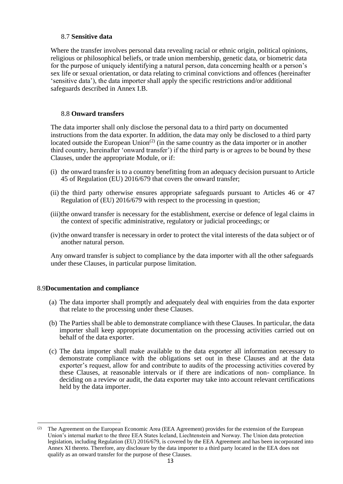### 8.7 **Sensitive data**

Where the transfer involves personal data revealing racial or ethnic origin, political opinions, religious or philosophical beliefs, or trade union membership, genetic data, or biometric data for the purpose of uniquely identifying a natural person, data concerning health or a person's sex life or sexual orientation, or data relating to criminal convictions and offences (hereinafter 'sensitive data'), the data importer shall apply the specific restrictions and/or additional safeguards described in Annex I.B.

### 8.8 **Onward transfers**

The data importer shall only disclose the personal data to a third party on documented instructions from the data exporter. In addition, the data may only be disclosed to a third party located outside the European Union<sup>(2)</sup> (in the same country as the data importer or in another third country, hereinafter 'onward transfer') if the third party is or agrees to be bound by these Clauses, under the appropriate Module, or if:

- (i) the onward transfer is to a country benefitting from an adequacy decision pursuant to Article 45 of Regulation (EU) 2016/679 that covers the onward transfer;
- (ii) the third party otherwise ensures appropriate safeguards pursuant to Articles 46 or 47 Regulation of (EU) 2016/679 with respect to the processing in question;
- (iii)the onward transfer is necessary for the establishment, exercise or defence of legal claims in the context of specific administrative, regulatory or judicial proceedings; or
- (iv)the onward transfer is necessary in order to protect the vital interests of the data subject or of another natural person.

Any onward transfer is subject to compliance by the data importer with all the other safeguards under these Clauses, in particular purpose limitation.

### 8.9**Documentation and compliance**

- (a) The data importer shall promptly and adequately deal with enquiries from the data exporter that relate to the processing under these Clauses.
- (b) The Parties shall be able to demonstrate compliance with these Clauses. In particular, the data importer shall keep appropriate documentation on the processing activities carried out on behalf of the data exporter.
- (c) The data importer shall make available to the data exporter all information necessary to demonstrate compliance with the obligations set out in these Clauses and at the data exporter's request, allow for and contribute to audits of the processing activities covered by these Clauses, at reasonable intervals or if there are indications of non- compliance. In deciding on a review or audit, the data exporter may take into account relevant certifications held by the data importer.

<sup>(2)</sup> The Agreement on the European Economic Area (EEA Agreement) provides for the extension of the European Union's internal market to the three EEA States Iceland, Liechtenstein and Norway. The Union data protection legislation, including Regulation (EU) 2016/679, is covered by the EEA Agreement and has been incorporated into Annex XI thereto. Therefore, any disclosure by the data importer to a third party located in the EEA does not qualify as an onward transfer for the purpose of these Clauses.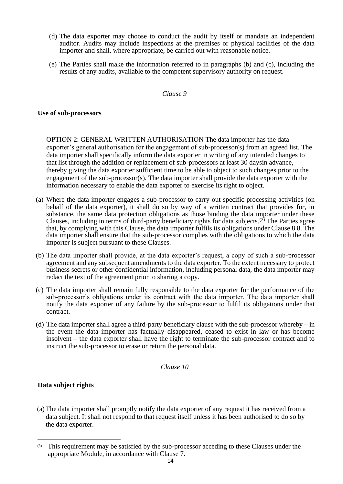- (d) The data exporter may choose to conduct the audit by itself or mandate an independent auditor. Audits may include inspections at the premises or physical facilities of the data importer and shall, where appropriate, be carried out with reasonable notice.
- (e) The Parties shall make the information referred to in paragraphs (b) and (c), including the results of any audits, available to the competent supervisory authority on request.

#### **Use of sub-processors**

OPTION 2: GENERAL WRITTEN AUTHORISATION The data importer has the data exporter's general authorisation for the engagement of sub-processor(s) from an agreed list. The data importer shall specifically inform the data exporter in writing of any intended changes to that list through the addition or replacement of sub-processors at least 30 daysin advance, thereby giving the data exporter sufficient time to be able to object to such changes prior to the engagement of the sub-processor(s). The data importer shall provide the data exporter with the information necessary to enable the data exporter to exercise its right to object.

- (a) Where the data importer engages a sub-processor to carry out specific processing activities (on behalf of the data exporter), it shall do so by way of a written contract that provides for, in substance, the same data protection obligations as those binding the data importer under these Clauses, including in terms of third-party beneficiary rights for data subjects.<sup>(3)</sup> The Parties agree that, by complying with this Clause, the data importer fulfils its obligations under Clause 8.8. The data importer shall ensure that the sub-processor complies with the obligations to which the data importer is subject pursuant to these Clauses.
- (b) The data importer shall provide, at the data exporter's request, a copy of such a sub-processor agreement and any subsequent amendments to the data exporter. To the extent necessary to protect business secrets or other confidential information, including personal data, the data importer may redact the text of the agreement prior to sharing a copy.
- (c) The data importer shall remain fully responsible to the data exporter for the performance of the sub-processor's obligations under its contract with the data importer. The data importer shall notify the data exporter of any failure by the sub-processor to fulfil its obligations under that contract.
- (d) The data importer shall agree a third-party beneficiary clause with the sub-processor whereby in the event the data importer has factually disappeared, ceased to exist in law or has become insolvent – the data exporter shall have the right to terminate the sub-processor contract and to instruct the sub-processor to erase or return the personal data.

#### *Clause 10*

### **Data subject rights**

(a) The data importer shall promptly notify the data exporter of any request it has received from a data subject. It shall not respond to that request itself unless it has been authorised to do so by the data exporter.

<sup>(3)</sup> This requirement may be satisfied by the sub-processor acceding to these Clauses under the appropriate Module, in accordance with Clause 7.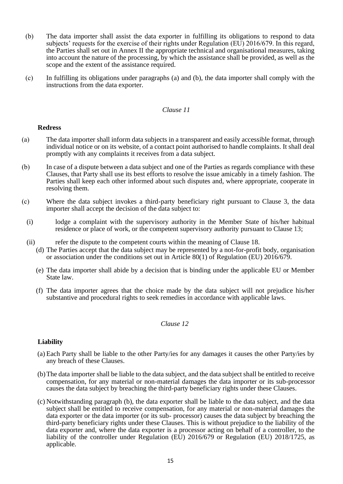- (b) The data importer shall assist the data exporter in fulfilling its obligations to respond to data subjects' requests for the exercise of their rights under Regulation (EU) 2016/679. In this regard, the Parties shall set out in Annex II the appropriate technical and organisational measures, taking into account the nature of the processing, by which the assistance shall be provided, as well as the scope and the extent of the assistance required.
- (c) In fulfilling its obligations under paragraphs (a) and (b), the data importer shall comply with the instructions from the data exporter.

#### **Redress**

- (a) The data importer shall inform data subjects in a transparent and easily accessible format, through individual notice or on its website, of a contact point authorised to handle complaints. It shall deal promptly with any complaints it receives from a data subject.
- (b) In case of a dispute between a data subject and one of the Parties as regards compliance with these Clauses, that Party shall use its best efforts to resolve the issue amicably in a timely fashion. The Parties shall keep each other informed about such disputes and, where appropriate, cooperate in resolving them.
- (c) Where the data subject invokes a third-party beneficiary right pursuant to Clause 3, the data importer shall accept the decision of the data subject to:
	- (i) lodge a complaint with the supervisory authority in the Member State of his/her habitual residence or place of work, or the competent supervisory authority pursuant to Clause 13;
- (ii) refer the dispute to the competent courts within the meaning of Clause 18.
	- (d) The Parties accept that the data subject may be represented by a not-for-profit body, organisation or association under the conditions set out in Article 80(1) of Regulation (EU) 2016/679.
	- (e) The data importer shall abide by a decision that is binding under the applicable EU or Member State law.
	- (f) The data importer agrees that the choice made by the data subject will not prejudice his/her substantive and procedural rights to seek remedies in accordance with applicable laws.

### *Clause 12*

### **Liability**

- (a) Each Party shall be liable to the other Party/ies for any damages it causes the other Party/ies by any breach of these Clauses.
- (b)The data importer shall be liable to the data subject, and the data subject shall be entitled to receive compensation, for any material or non-material damages the data importer or its sub-processor causes the data subject by breaching the third-party beneficiary rights under these Clauses.
- (c) Notwithstanding paragraph (b), the data exporter shall be liable to the data subject, and the data subject shall be entitled to receive compensation, for any material or non-material damages the data exporter or the data importer (or its sub- processor) causes the data subject by breaching the third-party beneficiary rights under these Clauses. This is without prejudice to the liability of the data exporter and, where the data exporter is a processor acting on behalf of a controller, to the liability of the controller under Regulation (EU) 2016/679 or Regulation (EU) 2018/1725, as applicable.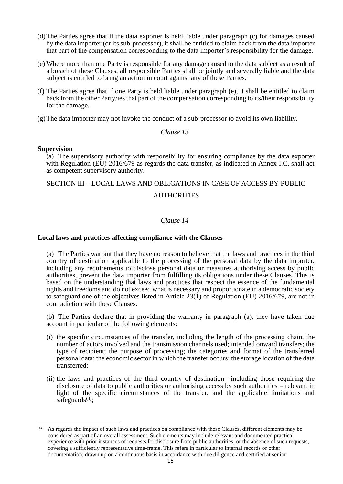- (d)The Parties agree that if the data exporter is held liable under paragraph (c) for damages caused by the data importer (or its sub-processor), it shall be entitled to claim back from the data importer that part of the compensation corresponding to the data importer's responsibility for the damage.
- (e) Where more than one Party is responsible for any damage caused to the data subject as a result of a breach of these Clauses, all responsible Parties shall be jointly and severally liable and the data subject is entitled to bring an action in court against any of these Parties.
- (f) The Parties agree that if one Party is held liable under paragraph (e), it shall be entitled to claim back from the other Party/ies that part of the compensation corresponding to its/their responsibility for the damage.
- (g)The data importer may not invoke the conduct of a sub-processor to avoid its own liability.

#### **Supervision**

(a) The supervisory authority with responsibility for ensuring compliance by the data exporter with Regulation (EU) 2016/679 as regards the data transfer, as indicated in Annex I.C, shall act as competent supervisory authority.

## SECTION III – LOCAL LAWS AND OBLIGATIONS IN CASE OF ACCESS BY PUBLIC

### AUTHORITIES

### *Clause 14*

### **Local laws and practices affecting compliance with the Clauses**

(a) The Parties warrant that they have no reason to believe that the laws and practices in the third country of destination applicable to the processing of the personal data by the data importer, including any requirements to disclose personal data or measures authorising access by public authorities, prevent the data importer from fulfilling its obligations under these Clauses. This is based on the understanding that laws and practices that respect the essence of the fundamental rights and freedoms and do not exceed what is necessary and proportionate in a democratic society to safeguard one of the objectives listed in Article 23(1) of Regulation (EU) 2016/679, are not in contradiction with these Clauses.

(b) The Parties declare that in providing the warranty in paragraph (a), they have taken due account in particular of the following elements:

- (i) the specific circumstances of the transfer, including the length of the processing chain, the number of actors involved and the transmission channels used; intended onward transfers; the type of recipient; the purpose of processing; the categories and format of the transferred personal data; the economic sector in which the transfer occurs; the storage location of the data transferred;
- (ii) the laws and practices of the third country of destination– including those requiring the disclosure of data to public authorities or authorising access by such authorities – relevant in light of the specific circumstances of the transfer, and the applicable limitations and safeguards<sup>(4)</sup>;

<sup>(4)</sup> As regards the impact of such laws and practices on compliance with these Clauses, different elements may be considered as part of an overall assessment. Such elements may include relevant and documented practical experience with prior instances of requests for disclosure from public authorities, or the absence of such requests, covering a sufficiently representative time-frame. This refers in particular to internal records or other documentation, drawn up on a continuous basis in accordance with due diligence and certified at senior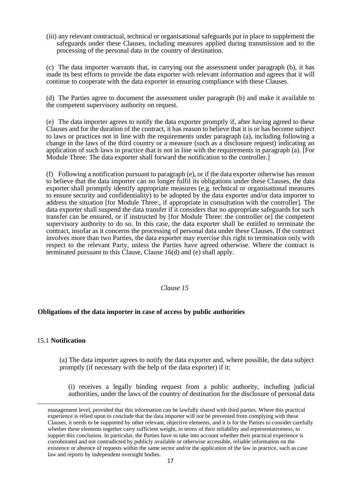(iii) any relevant contractual, technical or organisational safeguards put in place to supplement the safeguards under these Clauses, including measures applied during transmission and to the processing of the personal data in the country of destination.

(c) The data importer warrants that, in carrying out the assessment under paragraph (b), it has made its best efforts to provide the data exporter with relevant information and agrees that it will continue to cooperate with the data exporter in ensuring compliance with these Clauses.

(d) The Parties agree to document the assessment under paragraph (b) and make it available to the competent supervisory authority on request.

(e) The data importer agrees to notify the data exporter promptly if, after having agreed to these Clauses and for the duration of the contract, it has reason to believe that it is or has become subject to laws or practices not in line with the requirements under paragraph (a), including following a change in the laws of the third country or a measure (such as a disclosure request) indicating an application of such laws in practice that is not in line with the requirements in paragraph (a). [For Module Three: The data exporter shall forward the notification to the controller.]

(f) Following a notification pursuant to paragraph (e), or if the data exporter otherwise has reason to believe that the data importer can no longer fulfil its obligations under these Clauses, the data exporter shall promptly identify appropriate measures (e.g. technical or organisational measures to ensure security and confidentiality) to be adopted by the data exporter and/or data importer to address the situation [for Module Three:, if appropriate in consultation with the controller]. The data exporter shall suspend the data transfer if it considers that no appropriate safeguards for such transfer can be ensured, or if instructed by [for Module Three: the controller or] the competent supervisory authority to do so. In this case, the data exporter shall be entitled to terminate the contract, insofar as it concerns the processing of personal data under these Clauses. If the contract involves more than two Parties, the data exporter may exercise this right to termination only with respect to the relevant Party, unless the Parties have agreed otherwise. Where the contract is terminated pursuant to this Clause, Clause 16(d) and (e) shall apply.

## *Clause 15*

## **Obligations of the data importer in case of access by public authorities**

### 15.1 **Notification**

(a) The data importer agrees to notify the data exporter and, where possible, the data subject promptly (if necessary with the help of the data exporter) if it:

(i) receives a legally binding request from a public authority, including judicial authorities, under the laws of the country of destination for the disclosure of personal data

management level, provided that this information can be lawfully shared with third parties. Where this practical experience is relied upon to conclude that the data importer will not be prevented from complying with these Clauses, it needs to be supported by other relevant, objective elements, and it is for the Parties to consider carefully whether these elements together carry sufficient weight, in terms of their reliability and representativeness, to support this conclusion. In particular, the Parties have to take into account whether their practical experience is corroborated and not contradicted by publicly available or otherwise accessible, reliable information on the existence or absence of requests within the same sector and/or the application of the law in practice, such as case law and reports by independent oversight bodies.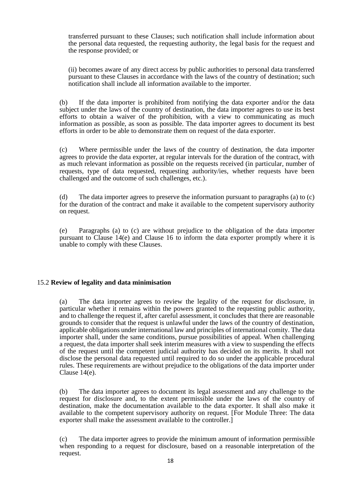transferred pursuant to these Clauses; such notification shall include information about the personal data requested, the requesting authority, the legal basis for the request and the response provided; or

(ii) becomes aware of any direct access by public authorities to personal data transferred pursuant to these Clauses in accordance with the laws of the country of destination; such notification shall include all information available to the importer.

(b) If the data importer is prohibited from notifying the data exporter and/or the data subject under the laws of the country of destination, the data importer agrees to use its best efforts to obtain a waiver of the prohibition, with a view to communicating as much information as possible, as soon as possible. The data importer agrees to document its best efforts in order to be able to demonstrate them on request of the data exporter.

(c) Where permissible under the laws of the country of destination, the data importer agrees to provide the data exporter, at regular intervals for the duration of the contract, with as much relevant information as possible on the requests received (in particular, number of requests, type of data requested, requesting authority/ies, whether requests have been challenged and the outcome of such challenges, etc.).

(d) The data importer agrees to preserve the information pursuant to paragraphs (a) to (c) for the duration of the contract and make it available to the competent supervisory authority on request.

(e) Paragraphs (a) to (c) are without prejudice to the obligation of the data importer pursuant to Clause 14(e) and Clause 16 to inform the data exporter promptly where it is unable to comply with these Clauses.

### 15.2 **Review of legality and data minimisation**

(a) The data importer agrees to review the legality of the request for disclosure, in particular whether it remains within the powers granted to the requesting public authority, and to challenge the request if, after careful assessment, it concludes that there are reasonable grounds to consider that the request is unlawful under the laws of the country of destination, applicable obligations under international law and principles of international comity. The data importer shall, under the same conditions, pursue possibilities of appeal. When challenging a request, the data importer shall seek interim measures with a view to suspending the effects of the request until the competent judicial authority has decided on its merits. It shall not disclose the personal data requested until required to do so under the applicable procedural rules. These requirements are without prejudice to the obligations of the data importer under Clause 14(e).

(b) The data importer agrees to document its legal assessment and any challenge to the request for disclosure and, to the extent permissible under the laws of the country of destination, make the documentation available to the data exporter. It shall also make it available to the competent supervisory authority on request. [For Module Three: The data exporter shall make the assessment available to the controller.]

(c) The data importer agrees to provide the minimum amount of information permissible when responding to a request for disclosure, based on a reasonable interpretation of the request.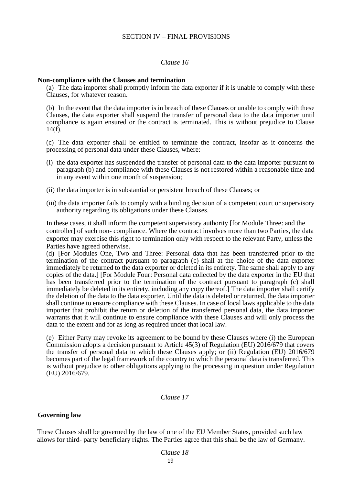#### **Non-compliance with the Clauses and termination**

(a) The data importer shall promptly inform the data exporter if it is unable to comply with these Clauses, for whatever reason.

(b) In the event that the data importer is in breach of these Clauses or unable to comply with these Clauses, the data exporter shall suspend the transfer of personal data to the data importer until compliance is again ensured or the contract is terminated. This is without prejudice to Clause  $14(f)$ .

(c) The data exporter shall be entitled to terminate the contract, insofar as it concerns the processing of personal data under these Clauses, where:

- (i) the data exporter has suspended the transfer of personal data to the data importer pursuant to paragraph (b) and compliance with these Clauses is not restored within a reasonable time and in any event within one month of suspension;
- (ii) the data importer is in substantial or persistent breach of these Clauses; or
- (iii) the data importer fails to comply with a binding decision of a competent court or supervisory authority regarding its obligations under these Clauses.

In these cases, it shall inform the competent supervisory authority [for Module Three: and the controller] of such non- compliance. Where the contract involves more than two Parties, the data exporter may exercise this right to termination only with respect to the relevant Party, unless the Parties have agreed otherwise.

(d) [For Modules One, Two and Three: Personal data that has been transferred prior to the termination of the contract pursuant to paragraph (c) shall at the choice of the data exporter immediately be returned to the data exporter or deleted in its entirety. The same shall apply to any copies of the data.] [For Module Four: Personal data collected by the data exporter in the EU that has been transferred prior to the termination of the contract pursuant to paragraph (c) shall immediately be deleted in its entirety, including any copy thereof.] The data importer shall certify the deletion of the data to the data exporter. Until the data is deleted or returned, the data importer shall continue to ensure compliance with these Clauses. In case of local laws applicable to the data importer that prohibit the return or deletion of the transferred personal data, the data importer warrants that it will continue to ensure compliance with these Clauses and will only process the data to the extent and for as long as required under that local law.

(e) Either Party may revoke its agreement to be bound by these Clauses where (i) the European Commission adopts a decision pursuant to Article 45(3) of Regulation (EU) 2016/679 that covers the transfer of personal data to which these Clauses apply; or (ii) Regulation (EU) 2016/679 becomes part of the legal framework of the country to which the personal data is transferred. This is without prejudice to other obligations applying to the processing in question under Regulation (EU) 2016/679.

### *Clause 17*

#### **Governing law**

These Clauses shall be governed by the law of one of the EU Member States, provided such law allows for third- party beneficiary rights. The Parties agree that this shall be the law of Germany.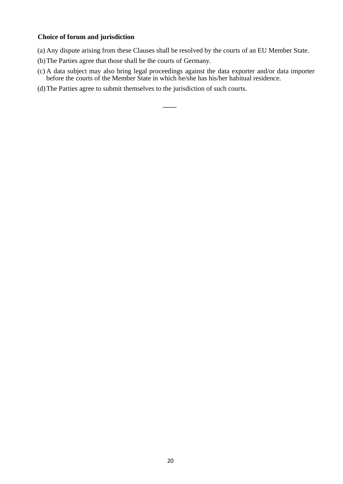### **Choice of forum and jurisdiction**

- (a) Any dispute arising from these Clauses shall be resolved by the courts of an EU Member State.
- (b)The Parties agree that those shall be the courts of Germany.
- (c) A data subject may also bring legal proceedings against the data exporter and/or data importer before the courts of the Member State in which he/she has his/her habitual residence.
- (d)The Parties agree to submit themselves to the jurisdiction of such courts.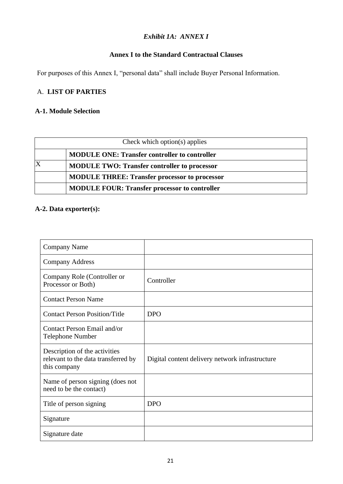# *Exhibit 1A: ANNEX I*

# **Annex I to the Standard Contractual Clauses**

For purposes of this Annex I, "personal data" shall include Buyer Personal Information.

# A. **LIST OF PARTIES**

## **A-1. Module Selection**

| Check which option(s) applies                        |
|------------------------------------------------------|
| <b>MODULE ONE: Transfer controller to controller</b> |
| <b>MODULE TWO: Transfer controller to processor</b>  |
| <b>MODULE THREE: Transfer processor to processor</b> |
| <b>MODULE FOUR: Transfer processor to controller</b> |

# **A-2. Data exporter(s):**

| <b>Company Name</b>                                                                  |                                                 |
|--------------------------------------------------------------------------------------|-------------------------------------------------|
| <b>Company Address</b>                                                               |                                                 |
| Company Role (Controller or<br>Processor or Both)                                    | Controller                                      |
| <b>Contact Person Name</b>                                                           |                                                 |
| <b>Contact Person Position/Title</b>                                                 | <b>DPO</b>                                      |
| Contact Person Email and/or<br>Telephone Number                                      |                                                 |
| Description of the activities<br>relevant to the data transferred by<br>this company | Digital content delivery network infrastructure |
| Name of person signing (does not<br>need to be the contact)                          |                                                 |
| Title of person signing                                                              | <b>DPO</b>                                      |
| Signature                                                                            |                                                 |
| Signature date                                                                       |                                                 |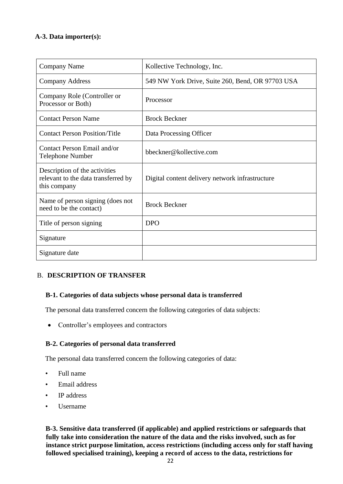# **A-3. Data importer(s):**

| Company Name                                                                         | Kollective Technology, Inc.                      |  |  |
|--------------------------------------------------------------------------------------|--------------------------------------------------|--|--|
| <b>Company Address</b>                                                               | 549 NW York Drive, Suite 260, Bend, OR 97703 USA |  |  |
| Company Role (Controller or<br>Processor or Both)                                    | Processor                                        |  |  |
| <b>Contact Person Name</b>                                                           | <b>Brock Beckner</b>                             |  |  |
| <b>Contact Person Position/Title</b>                                                 | Data Processing Officer                          |  |  |
| Contact Person Email and/or<br><b>Telephone Number</b>                               | bbeckner@kollective.com                          |  |  |
| Description of the activities<br>relevant to the data transferred by<br>this company | Digital content delivery network infrastructure  |  |  |
| Name of person signing (does not<br>need to be the contact)                          | <b>Brock Beckner</b>                             |  |  |
| Title of person signing                                                              | <b>DPO</b>                                       |  |  |
| Signature                                                                            |                                                  |  |  |
| Signature date                                                                       |                                                  |  |  |

# B. **DESCRIPTION OF TRANSFER**

## **B-1. Categories of data subjects whose personal data is transferred**

The personal data transferred concern the following categories of data subjects:

• Controller's employees and contractors

## **B-2. Categories of personal data transferred**

The personal data transferred concern the following categories of data:

- Full name
- Email address
- IP address
- Username

**B-3. Sensitive data transferred (if applicable) and applied restrictions or safeguards that fully take into consideration the nature of the data and the risks involved, such as for instance strict purpose limitation, access restrictions (including access only for staff having followed specialised training), keeping a record of access to the data, restrictions for**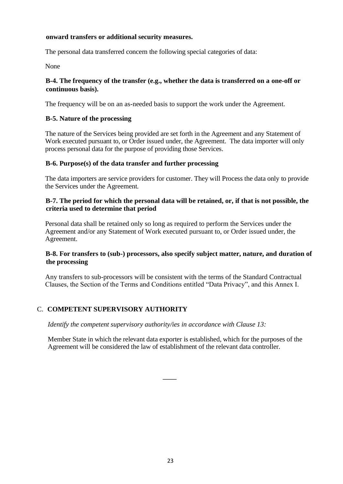### **onward transfers or additional security measures.**

The personal data transferred concern the following special categories of data:

None

### **B-4. The frequency of the transfer (e.g., whether the data is transferred on a one-off or continuous basis).**

The frequency will be on an as-needed basis to support the work under the Agreement.

## **B-5. Nature of the processing**

The nature of the Services being provided are set forth in the Agreement and any Statement of Work executed pursuant to, or Order issued under, the Agreement. The data importer will only process personal data for the purpose of providing those Services.

### **B-6. Purpose(s) of the data transfer and further processing**

The data importers are service providers for customer. They will Process the data only to provide the Services under the Agreement.

### **B-7. The period for which the personal data will be retained, or, if that is not possible, the criteria used to determine that period**

Personal data shall be retained only so long as required to perform the Services under the Agreement and/or any Statement of Work executed pursuant to, or Order issued under, the Agreement.

### **B-8. For transfers to (sub-) processors, also specify subject matter, nature, and duration of the processing**

Any transfers to sub-processors will be consistent with the terms of the Standard Contractual Clauses, the Section of the Terms and Conditions entitled "Data Privacy", and this Annex I.

# C. **COMPETENT SUPERVISORY AUTHORITY**

*Identify the competent supervisory authority/ies in accordance with Clause 13:*

Member State in which the relevant data exporter is established, which for the purposes of the Agreement will be considered the law of establishment of the relevant data controller.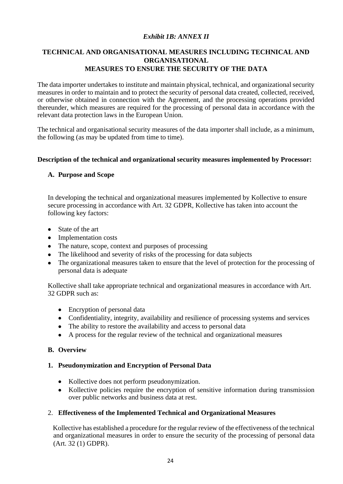## *Exhibit 1B: ANNEX II*

## **TECHNICAL AND ORGANISATIONAL MEASURES INCLUDING TECHNICAL AND ORGANISATIONAL MEASURES TO ENSURE THE SECURITY OF THE DATA**

The data importer undertakes to institute and maintain physical, technical, and organizational security measures in order to maintain and to protect the security of personal data created, collected, received, or otherwise obtained in connection with the Agreement, and the processing operations provided thereunder, which measures are required for the processing of personal data in accordance with the relevant data protection laws in the European Union.

The technical and organisational security measures of the data importer shall include, as a minimum, the following (as may be updated from time to time).

### **Description of the technical and organizational security measures implemented by Processor:**

### **A. Purpose and Scope**

In developing the technical and organizational measures implemented by Kollective to ensure secure processing in accordance with Art. 32 GDPR, Kollective has taken into account the following key factors:

- State of the art
- Implementation costs
- The nature, scope, context and purposes of processing
- The likelihood and severity of risks of the processing for data subjects
- The organizational measures taken to ensure that the level of protection for the processing of personal data is adequate

Kollective shall take appropriate technical and organizational measures in accordance with Art. 32 GDPR such as:

- Encryption of personal data
- Confidentiality, integrity, availability and resilience of processing systems and services
- The ability to restore the availability and access to personal data
- A process for the regular review of the technical and organizational measures

### **B. Overview**

### **1. Pseudonymization and Encryption of Personal Data**

- Kollective does not perform pseudonymization.
- Kollective policies require the encryption of sensitive information during transmission over public networks and business data at rest.

### 2. **Effectiveness of the Implemented Technical and Organizational Measures**

 Kollective has established a procedure for the regular review of the effectiveness of the technical and organizational measures in order to ensure the security of the processing of personal data (Art. 32 (1) GDPR).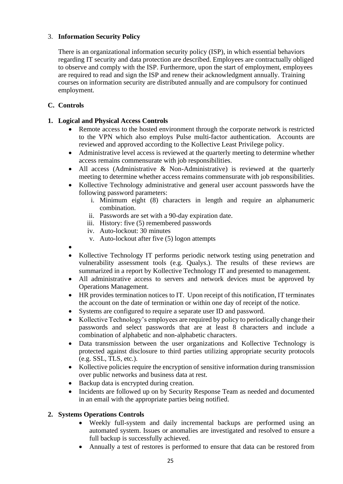## 3. **Information Security Policy**

There is an organizational information security policy (ISP), in which essential behaviors regarding IT security and data protection are described. Employees are contractually obliged to observe and comply with the ISP. Furthermore, upon the start of employment, employees are required to read and sign the ISP and renew their acknowledgment annually. Training courses on information security are distributed annually and are compulsory for continued employment.

## **C. Controls**

## **1. Logical and Physical Access Controls**

- Remote access to the hosted environment through the corporate network is restricted to the VPN which also employs Pulse multi-factor authentication. Accounts are reviewed and approved according to the Kollective Least Privilege policy.
- Administrative level access is reviewed at the quarterly meeting to determine whether access remains commensurate with job responsibilities.
- All access (Administrative & Non-Administrative) is reviewed at the quarterly meeting to determine whether access remains commensurate with job responsibilities.
- Kollective Technology administrative and general user account passwords have the following password parameters:
	- i. Minimum eight (8) characters in length and require an alphanumeric combination.
	- ii. Passwords are set with a 90-day expiration date.
	- iii. History: five (5) remembered passwords
	- iv. Auto-lockout: 30 minutes
	- v. Auto-lockout after five (5) logon attempts
- •
- Kollective Technology IT performs periodic network testing using penetration and vulnerability assessment tools (e.g. Qualys.). The results of these reviews are summarized in a report by Kollective Technology IT and presented to management.
- All administrative access to servers and network devices must be approved by Operations Management.
- HR provides termination notices to IT. Upon receipt of this notification, IT terminates the account on the date of termination or within one day of receipt of the notice.
- Systems are configured to require a separate user ID and password.
- Kollective Technology's employees are required by policy to periodically change their passwords and select passwords that are at least 8 characters and include a combination of alphabetic and non-alphabetic characters.
- Data transmission between the user organizations and Kollective Technology is protected against disclosure to third parties utilizing appropriate security protocols (e.g. SSL, TLS, etc.).
- Kollective policies require the encryption of sensitive information during transmission over public networks and business data at rest.
- Backup data is encrypted during creation.
- Incidents are followed up on by Security Response Team as needed and documented in an email with the appropriate parties being notified.

## **2. Systems Operations Controls**

- Weekly full-system and daily incremental backups are performed using an automated system. Issues or anomalies are investigated and resolved to ensure a full backup is successfully achieved.
- Annually a test of restores is performed to ensure that data can be restored from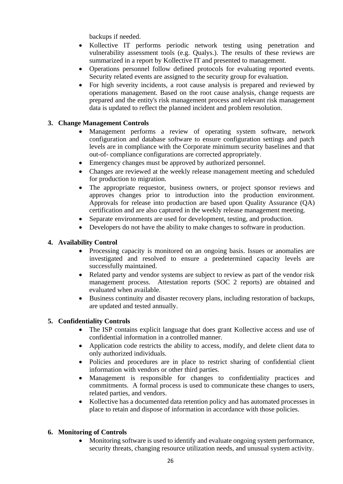backups if needed.

- Kollective IT performs periodic network testing using penetration and vulnerability assessment tools (e.g. Qualys.). The results of these reviews are summarized in a report by Kollective IT and presented to management.
- Operations personnel follow defined protocols for evaluating reported events. Security related events are assigned to the security group for evaluation.
- For high severity incidents, a root cause analysis is prepared and reviewed by operations management. Based on the root cause analysis, change requests are prepared and the entity's risk management process and relevant risk management data is updated to reflect the planned incident and problem resolution.

# **3. Change Management Controls**

- Management performs a review of operating system software, network configuration and database software to ensure configuration settings and patch levels are in compliance with the Corporate minimum security baselines and that out-of- compliance configurations are corrected appropriately.
- Emergency changes must be approved by authorized personnel.
- Changes are reviewed at the weekly release management meeting and scheduled for production to migration.
- The appropriate requestor, business owners, or project sponsor reviews and approves changes prior to introduction into the production environment. Approvals for release into production are based upon Quality Assurance (QA) certification and are also captured in the weekly release management meeting.
- Separate environments are used for development, testing, and production.
- Developers do not have the ability to make changes to software in production.

# **4. Availability Control**

- Processing capacity is monitored on an ongoing basis. Issues or anomalies are investigated and resolved to ensure a predetermined capacity levels are successfully maintained.
- Related party and vendor systems are subject to review as part of the vendor risk management process. Attestation reports (SOC 2 reports) are obtained and evaluated when available.
- Business continuity and disaster recovery plans, including restoration of backups, are updated and tested annually.

# **5. Confidentiality Controls**

- The ISP contains explicit language that does grant Kollective access and use of confidential information in a controlled manner.
- Application code restricts the ability to access, modify, and delete client data to only authorized individuals.
- Policies and procedures are in place to restrict sharing of confidential client information with vendors or other third parties.
- Management is responsible for changes to confidentiality practices and commitments. A formal process is used to communicate these changes to users, related parties, and vendors.
- Kollective has a documented data retention policy and has automated processes in place to retain and dispose of information in accordance with those policies.

# **6. Monitoring of Controls**

• Monitoring software is used to identify and evaluate ongoing system performance, security threats, changing resource utilization needs, and unusual system activity.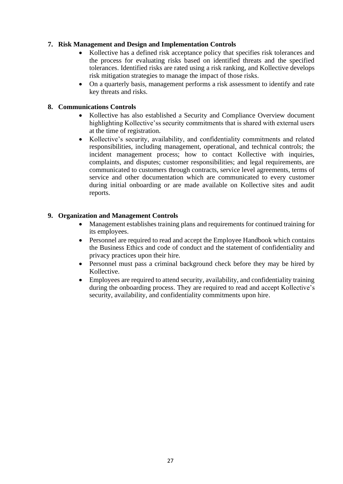## **7. Risk Management and Design and Implementation Controls**

- Kollective has a defined risk acceptance policy that specifies risk tolerances and the process for evaluating risks based on identified threats and the specified tolerances. Identified risks are rated using a risk ranking, and Kollective develops risk mitigation strategies to manage the impact of those risks.
- On a quarterly basis, management performs a risk assessment to identify and rate key threats and risks.

## **8. Communications Controls**

- Kollective has also established a Security and Compliance Overview document highlighting Kollective'ss security commitments that is shared with external users at the time of registration.
- Kollective's security, availability, and confidentiality commitments and related responsibilities, including management, operational, and technical controls; the incident management process; how to contact Kollective with inquiries, complaints, and disputes; customer responsibilities; and legal requirements, are communicated to customers through contracts, service level agreements, terms of service and other documentation which are communicated to every customer during initial onboarding or are made available on Kollective sites and audit reports.

## **9. Organization and Management Controls**

- Management establishes training plans and requirements for continued training for its employees.
- Personnel are required to read and accept the Employee Handbook which contains the Business Ethics and code of conduct and the statement of confidentiality and privacy practices upon their hire.
- Personnel must pass a criminal background check before they may be hired by Kollective.
- Employees are required to attend security, availability, and confidentiality training during the onboarding process. They are required to read and accept Kollective's security, availability, and confidentiality commitments upon hire.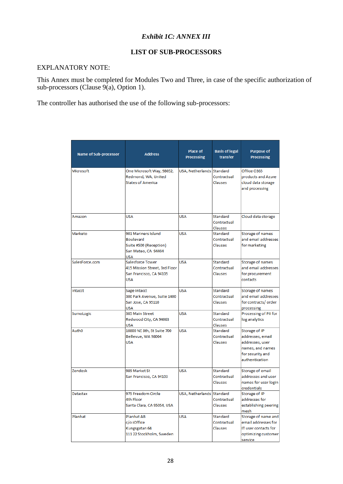### *Exhibit 1C: ANNEX III*

### **LIST OF SUB-PROCESSORS**

## EXPLANATORY NOTE:

This Annex must be completed for Modules Two and Three, in case of the specific authorization of sub-processors (Clause 9(a), Option 1).

The controller has authorised the use of the following sub-processors:

| <b>Name of Sub-processor</b> | <b>Address</b>                                                                                         | <b>Place of</b><br><b>Processing</b> | <b>Basis of legal</b><br>transfer         | <b>Purpose of</b><br><b>Processing</b>                                                                         |
|------------------------------|--------------------------------------------------------------------------------------------------------|--------------------------------------|-------------------------------------------|----------------------------------------------------------------------------------------------------------------|
| Microsoft                    | One Microsoft Way, 98052,<br>Redmond, WA, United<br><b>States of America</b>                           | USA, Netherlands Standard            | Contractual<br>Clauses                    | Office O365<br>products and Azure<br>cloud data storage<br>and processing                                      |
| Amazon                       | <b>USA</b>                                                                                             | <b>USA</b>                           | Standard<br>Contractual<br>Clauses        | Cloud data storage                                                                                             |
| Marketo                      | 901 Mariners Island<br><b>Boulevard</b><br>Suite #500 (Reception)<br>San Mateo, CA 94404<br><b>USA</b> | <b>USA</b>                           | Standard<br>Contractual<br><b>Clauses</b> | Storage of names<br>and email addresses<br>for marketing                                                       |
| SalesForce.com               | <b>Salesforce Tower</b><br>415 Mission Street, 3rd Floor<br>San Francisco, CA 94105<br><b>USA</b>      | <b>USA</b>                           | Standard<br>Contractual<br>Clauses        | Storage of names<br>and email addresses<br>for procurement<br>contacts                                         |
| Intacct                      | Sage Intacct<br>300 Park Avenue, Suite 1400<br>San Jose, CA 95110<br><b>USA</b>                        | <b>USA</b>                           | Standard<br>Contractual<br>Clauses        | Storage of names<br>and email addresses<br>for contracts/order<br>processing                                   |
| SumoLogic                    | 305 Main Street<br>Redwood City, CA 94063<br><b>USA</b>                                                | <b>USA</b>                           | Standard<br>Contractual<br><b>Clauses</b> | Processing of PII for<br>log analytics                                                                         |
| Auth <sub>0</sub>            | 10800 NE 8th, St Suite 700<br>Bellevue, WA 98004<br><b>USA</b>                                         | <b>USA</b>                           | Standard<br>Contractual<br>Clauses        | Storage of IP<br>addresses, email<br>addresses, user<br>names, and names<br>for security and<br>authentication |
| Zendesk                      | 989 Market St<br>San Francisco, CA 94103                                                               | <b>USA</b>                           | Standard<br>Contractual<br>Clauses        | Storage of email<br>addresses and user<br>names for user login<br>credentials                                  |
| Datastax                     | 975 Freedom Circle<br>4th Floor<br>Santa Clara, CA 95054, USA                                          | USA, Netherlands Standard            | Contractual<br>Clauses                    | Storage of IP<br>addresses for<br>establishing peering<br>mesh                                                 |
| Planhat                      | Planhat AB<br>c/o iOffice<br>Kungsgatan 64<br>111 22 Stockholm, Sweden                                 | <b>USA</b>                           | Standard<br>Contractual<br><b>Clauses</b> | Storage of name and<br>email addresses for<br>IT user contacts for<br>optimizing customer<br>service           |